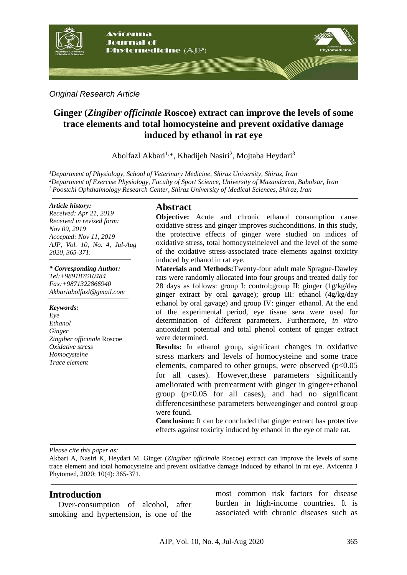

*Original Research Article*

# **Ginger (***Zingiber officinale* **Roscoe) extract can improve the levels of some trace elements and total homocysteine and prevent oxidative damage induced by ethanol in rat eye**

Abolfazl Akbari<sup>1,\*</sup>, Khadijeh Nasiri<sup>2</sup>, Mojtaba Heydari<sup>3</sup>

*<sup>1</sup>Department of Physiology, School of Veterinary Medicine, Shiraz University, Shiraz, Iran <sup>2</sup>Department of Exercise Physiology, Faculty of Sport Science, University of Mazandaran, Babolsar, Iran <sup>3</sup> Poostchi Ophthalmology Research Center, Shiraz University of Medical Sciences, Shiraz, Iran*

#### *Article history:*

*Received: Apr 21, 2019 Received in revised form: Nov 09, 2019 Accepted: Nov 11, 2019 AJP, Vol. 10, No. 4, Jul-Aug 2020, 365-371.*

*\* Corresponding Author: Tel:+989187610484 Fax:+9871322866940 Akbariabolfazl@gmail.com*

*Keywords: Eye Ethanol Ginger Zingiber officinale* Roscoe *Oxidative stress Homocysteine Trace element*

## **Abstract**

**Objective:** Acute and chronic ethanol consumption cause oxidative stress and ginger improves suchconditions. In this study, the protective effects of ginger were studied on indices of oxidative stress, total homocysteinelevel and the level of the some of the oxidative stress-associated trace elements against toxicity induced by ethanol in rat eye.

**Materials and Methods:**Twenty-four adult male Sprague-Dawley rats were randomly allocated into four groups and treated daily for 28 days as follows: group I: control;group II: ginger (1g/kg/day ginger extract by oral gavage); group III: ethanol (4g/kg/day ethanol by oral gavage) and group IV: ginger+ethanol. At the end of the experimental period, eye tissue sera were used for determination of different parameters. Furthermore, *in vitro* antioxidant potential and total phenol content of ginger extract were determined.

**Results:** In ethanol group, significant changes in oxidative stress markers and levels of homocysteine and some trace elements, compared to other groups, were observed  $(p<0.05$ for all cases). However,these parameters significantly ameliorated with pretreatment with ginger in ginger+ethanol group  $(p<0.05$  for all cases), and had no significant differencesinthese parameters betweenginger and control group were found.

**Conclusion:** It can be concluded that ginger extract has protective effects against toxicity induced by ethanol in the eye of male rat.

*Please cite this paper as:* 

Akbari A, Nasiri K, Heydari M. Ginger (*Zingiber officinale* Roscoe) extract can improve the levels of some trace element and total homocysteine and prevent oxidative damage induced by ethanol in rat eye. Avicenna J Phytomed, 2020; 10(4): 365-371.

## **Introduction**

Over-consumption of alcohol, after smoking and hypertension, is one of the most common risk factors for disease burden in high-income countries. It is associated with chronic diseases such as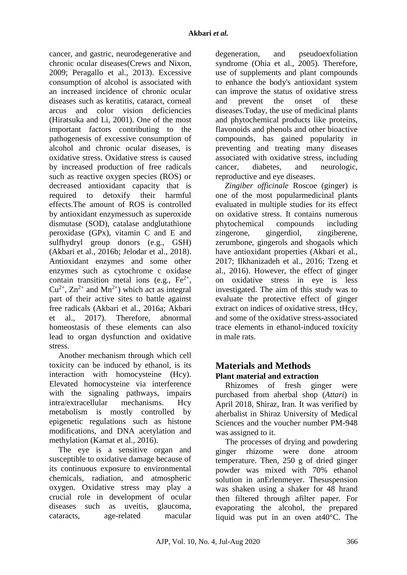cancer, and gastric, neurodegenerative and chronic ocular diseases(Crews and Nixon, 2009; Peragallo et al., 2013). Excessive consumption of alcohol is associated with an increased incidence of chronic ocular diseases such as keratitis, cataract, corneal arcus and color vision deficiencies (Hiratsuka and Li, 2001). One of the most important factors contributing to the pathogenesis of excessive consumption of alcohol and chronic ocular diseases, is oxidative stress. Oxidative stress is caused by increased production of free radicals such as reactive oxygen species (ROS) or decreased antioxidant capacity that is required to detoxify their harmful effects.The amount of ROS is controlled by antioxidant enzymessuch as superoxide dismutase (SOD), catalase andglutathione peroxidase (GPx), vitamin C and E and sulfhydryl group donors (e.g., GSH) (Akbari et al., 2016b; Jelodar et al., 2018). Antioxidant enzymes and some other enzymes such as cytochrome c oxidase contain transition metal ions (e.g.,  $Fe^{2+}$ ,  $Cu^{2+}$ ,  $Zn^{2+}$  and  $Mn^{2+}$ ) which act as integral part of their active sites to battle against free radicals (Akbari et al., 2016a; Akbari et al., 2017). Therefore, abnormal homeostasis of these elements can also lead to organ dysfunction and oxidative stress.

Another mechanism through which cell toxicity can be induced by ethanol, is its interaction with homocysteine (Hcy). Elevated homocysteine via interference with the signaling pathways, impairs intra/extracellular mechanisms. Hcy metabolism is mostly controlled by epigenetic regulations such as histone modifications, and DNA acetylation and methylation (Kamat et al., 2016).

The eye is a sensitive organ and susceptible to oxidative damage because of its continuous exposure to environmental chemicals, radiation, and atmospheric oxygen. Oxidative stress may play a crucial role in development of ocular diseases such as uveitis, glaucoma, cataracts, age-related macular degeneration, and pseudoexfoliation syndrome (Ohia et al., 2005). Therefore, use of supplements and plant compounds to enhance the body's antioxidant system can improve the status of oxidative stress and prevent the onset of these diseases.Today, the use of medicinal plants and phytochemical products like proteins, flavonoids and phenols and other bioactive compounds, has gained popularity in preventing and treating many diseases associated with oxidative stress, including cancer, diabetes, and neurologic, reproductive and eye diseases.

*Zingiber officinale* Roscoe (ginger) is one of the most popularmedicinal plants evaluated in multiple studies for its effect on oxidative stress. It contains numerous phytochemical compounds including zingerone, gingerdiol, zingiberene, zerumbone, gingerols and shogaols which have antioxidant properties (Akbari et al., 2017; Ilkhanizadeh et al., 2016; Tzeng et al., 2016). However, the effect of ginger on oxidative stress in eye is less investigated. The aim of this study was to evaluate the protective effect of ginger extract on indices of oxidative stress, tHcy, and some of the oxidative stress-associated trace elements in ethanol-induced toxicity in male rats.

# **Materials and Methods Plant material and extraction**

Rhizomes of fresh ginger were purchased from aherbal shop (*Attari*) in April 2018, Shiraz, Iran. It was verified by aherbalist in Shiraz University of Medical Sciences and the voucher number PM-948 was assigned to it.

The processes of drying and powdering ginger rhizome were done atroom temperature. Then, 250 g of dried ginger powder was mixed with 70% ethanol solution in anErlenmeyer. Thesuspension was shaken using a shaker for 48 hrand then filtered through afilter paper. For evaporating the alcohol, the prepared liquid was put in an oven at40°C. The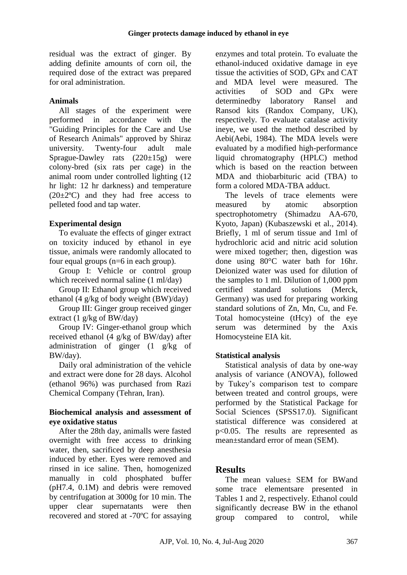residual was the extract of ginger. By adding definite amounts of corn oil, the required dose of the extract was prepared for oral administration.

#### **Animals**

All stages of the experiment were performed in accordance with the "Guiding Principles for the Care and Use of Research Animals" approved by Shiraz university. Twenty-four adult male Sprague-Dawley rats (220±15g) were colony-bred (six rats per cage) in the animal room under controlled lighting (12 hr light: 12 hr darkness) and temperature  $(20\pm2\degree C)$  and they had free access to pelleted food and tap water.

#### **Experimental design**

To evaluate the effects of ginger extract on toxicity induced by ethanol in eye tissue, animals were randomly allocated to four equal groups (n=6 in each group).

Group I: Vehicle or control group which received normal saline (1 ml/day)

Group II: Ethanol group which received ethanol (4 g/kg of body weight (BW)/day)

Group III: Ginger group received ginger extract (1 g/kg of BW/day)

Group IV: Ginger-ethanol group which received ethanol (4 g/kg of BW/day) after administration of ginger (1 g/kg of BW/day).

Daily oral administration of the vehicle and extract were done for 28 days. Alcohol (ethanol 96%) was purchased from Razi Chemical Company (Tehran, Iran).

#### **Biochemical analysis and assessment of eye oxidative status**

After the 28th day, animalls were fasted overnight with free access to drinking water, then, sacrificed by deep anesthesia induced by ether. Eyes were removed and rinsed in ice saline. Then, homogenized manually in cold phosphated buffer (pH7.4, 0.1M) and debris were removed by centrifugation at 3000g for 10 min. The upper clear supernatants were then recovered and stored at -70ºC for assaying enzymes and total protein. To evaluate the ethanol-induced oxidative damage in eye tissue the activities of SOD, GPx and CAT and MDA level were measured. The activities of SOD and GPx were determinedby laboratory Ransel and Ransod kits (Randox Company, UK), respectively. To evaluate catalase activity ineye, we used the method described by Aebi(Aebi, 1984). The MDA levels were evaluated by a modified high-performance liquid chromatography (HPLC) method which is based on the reaction between MDA and thiobarbituric acid (TBA) to form a colored MDA-TBA adduct.

The levels of trace elements were measured by atomic absorption spectrophotometry (Shimadzu AA-670, Kyoto, Japan) (Kubaszewski et al., 2014). Briefly, 1 ml of serum tissue and 1ml of hydrochloric acid and nitric acid solution were mixed together; then, digestion was done using 80°C water bath for 16hr. Deionized water was used for dilution of the samples to 1 ml. Dilution of 1,000 ppm certified standard solutions (Merck, Germany) was used for preparing working standard solutions of Zn, Mn, Cu, and Fe. Total homocysteine (tHcy) of the eye serum was determined by the Axis Homocysteine EIA kit.

## **Statistical analysis**

Statistical analysis of data by one-way analysis of variance (ANOVA), followed by Tukey's comparison test to compare between treated and control groups, were performed by the Statistical Package for Social Sciences (SPSS17.0). Significant statistical difference was considered at p<0.05. The results are represented as mean±standard error of mean (SEM).

## **Results**

The mean values± SEM for BWand some trace elementsare presented in Tables 1 and 2, respectively. Ethanol could significantly decrease BW in the ethanol group compared to control, while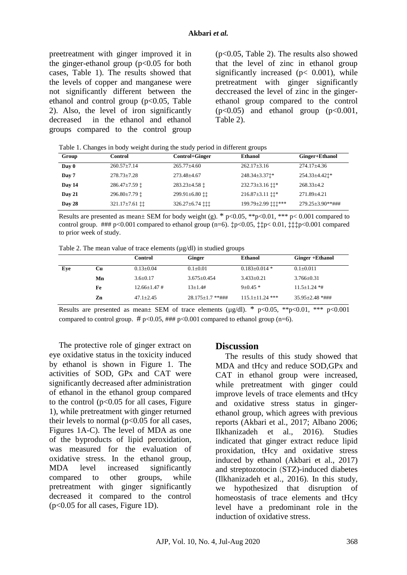preetreatment with ginger improved it in the ginger-ethanol group  $(p<0.05$  for both cases, Table 1). The results showed that the levels of copper and manganese were not significantly different between the ethanol and control group  $(p<0.05$ , Table 2). Also, the level of iron significantly decreased in the ethanol and ethanol groups compared to the control group

(p<0.05, Table 2). The results also showed that the level of zinc in ethanol group significantly increased ( $p < 0.001$ ), while pretreatment with ginger significantly deccreased the level of zinc in the gingerethanol group compared to the control  $(p<0.05)$  and ethanol group  $(p<0.001$ , Table 2).

Table 1. Changes in body weight during the study period in different groups

| Group                | Control                | Control+Ginger         | Ethanol                          | Ginger+Ethanol          |
|----------------------|------------------------|------------------------|----------------------------------|-------------------------|
| $\bf{D}$ av $\bf{0}$ | $260.57 \pm 7.14$      | $265.77 \pm 4.60$      | $262.17 + 3.16$                  | $274.17 + 4.36$         |
| Day 7                | $278.73 \pm 7.28$      | $273.48 + 4.67$        | 248.34±3.371*                    | 254.33±4.421*           |
| Day 14               | 286.47±7.59 $\ddagger$ | 283.23±4.58 $\ddagger$ | 232.73±3.16 $\ddagger\ddagger$ * | $268.33+4.2$            |
| Day 21               | 296.80±7.79 $\ddagger$ | 299.91±6.80 ff         | $216.87 \pm 3.11$ ii*            | $271.89 \pm 4.21$       |
| Day 28               | 321.17±7.61 tt         | 326.27±6.74 111        | 199.79±2.99 ‡‡‡***               | $279.25 \pm 3.90$ **### |

Results are presented as mean $\pm$  SEM for body weight (g). \* p<0.05, \*\*p<0.01, \*\*\* p<0.001 compared to control group.  $\# \# \mathfrak{p} < 0.001$  compared to ethanol group (n=6).  $\sharp \mathfrak{p} < 0.05$ ,  $\sharp \sharp \mathfrak{p} < 0.01$ ,  $\sharp \sharp \mathfrak{p} < 0.001$  compared to prior week of study.

Table 2. The mean value of trace elements  $(\mu g/dl)$  in studied groups

|     |    | <b>Control</b>     | Ginger               | <b>Ethanol</b>      | Ginger + Ethanol    |
|-----|----|--------------------|----------------------|---------------------|---------------------|
| Eye | Cu | $0.13 \pm 0.04$    | $0.1 \pm 0.01$       | $0.183 \pm 0.014$ * | $0.1 \pm 0.011$     |
|     | Mn | $3.6 \pm 0.17$     | $3.675 + 0.454$      | $3.433+0.21$        | $3.766 + 0.31$      |
|     | Fe | $12.66 \pm 1.47$ # | $13+1.4#$            | $9+0.45*$           | $11.5 + 1.24$ *#    |
|     | Zn | $47.1 + 2.45$      | $28.175 + 1.7$ **### | $115.1 + 11.24$ *** | $35.95 + 2.48$ *### |
|     |    |                    |                      |                     |                     |

Results are presented as mean± SEM of trace elements ( $\mu$ g/dl). \* p<0.05, \*\*p<0.01, \*\*\* p<0.001 compared to control group.  $\# p<0.05$ ,  $\# \# p<0.001$  compared to ethanol group (n=6).

The protective role of ginger extract on eye oxidative status in the toxicity induced by ethanol is shown in Figure 1. The activities of SOD, GPx and CAT were significantly decreased after administration of ethanol in the ethanol group compared to the control ( $p<0.05$  for all cases, Figure 1), while pretreatment with ginger returned their levels to normal  $(p<0.05$  for all cases, Figures 1A-C). The level of MDA as one of the byproducts of lipid peroxidation, was measured for the evaluation of oxidative stress. In the ethanol group, MDA level increased significantly compared to other groups, while pretreatment with ginger significantly decreased it compared to the control (p<0.05 for all cases, Figure 1D).

#### **Discussion**

The results of this study showed that MDA and tHcy and reduce SOD,GPx and CAT in ethanol group were increased, while pretreatment with ginger could improve levels of trace elements and tHcy and oxidative stress status in gingerethanol group, which agrees with previous reports (Akbari et al., 2017; Albano 2006; Ilkhanizadeh et al., 2016). Studies indicated that ginger extract reduce lipid proxidation, tHcy and oxidative stress induced by ethanol (Akbari et al., 2017) and streptozotocin (STZ)-induced diabetes (Ilkhanizadeh et al., 2016). In this study, we hypothesized that disruption of homeostasis of trace elements and tHcy level have a predominant role in the induction of oxidative stress.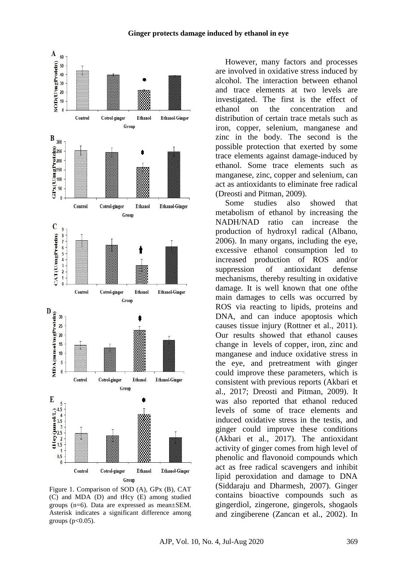#### **Ginger protects damage induced by ethanol in eye**



Figure 1. Comparison of SOD (A), GPx (B), CAT (C) and MDA (D) and tHcy (E) among studied groups (n=6). Data are expressed as mean±SEM. Asterisk indicates a significant difference among groups  $(p<0.05)$ .

However, many factors and processes are involved in oxidative stress induced by alcohol. The interaction between ethanol and trace elements at two levels are investigated. The first is the effect of ethanol on the concentration and distribution of certain trace metals such as iron, copper, selenium, manganese and zinc in the body. The second is the possible protection that exerted by some trace elements against damage-induced by ethanol. Some trace elements such as manganese, zinc, copper and selenium, can act as antioxidants to eliminate free radical (Dreosti and Pitman, 2009).

Some studies also showed that metabolism of ethanol by increasing the NADH/NAD ratio can increase the production of hydroxyl radical (Albano, 2006). In many organs, including the eye, excessive ethanol consumption led to increased production of ROS and/or suppression of antioxidant defense mechanisms, thereby resulting in oxidative damage. It is well known that one ofthe main damages to cells was occurred by ROS via reacting to lipids, proteins and DNA, and can induce apoptosis which causes tissue injury (Rottner et al., 2011). Our results showed that ethanol causes change in levels of copper, iron, zinc and manganese and induce oxidative stress in the eye, and pretreatment with ginger could improve these parameters, which is consistent with previous reports (Akbari et al., 2017; Dreosti and Pitman, 2009). It was also reported that ethanol reduced levels of some of trace elements and induced oxidative stress in the testis, and ginger could improve these conditions (Akbari et al., 2017). The antioxidant activity of ginger comes from high level of phenolic and flavonoid compounds which act as free radical scavengers and inhibit lipid peroxidation and damage to DNA (Siddaraju and Dharmesh, 2007). Ginger contains bioactive compounds such as gingerdiol, zingerone, gingerols, shogaols and zingiberene (Zancan et al., 2002). In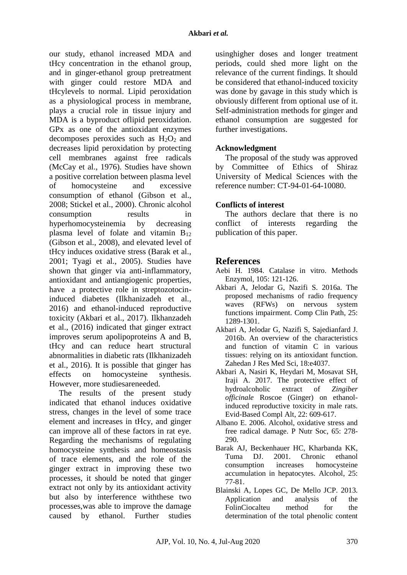our study, ethanol increased MDA and tHcy concentration in the ethanol group, and in ginger-ethanol group pretreatment with ginger could restore MDA and tHcylevels to normal. Lipid peroxidation as a physiological process in membrane, plays a crucial role in tissue injury and MDA is a byproduct oflipid peroxidation. GPx as one of the antioxidant enzymes decomposes peroxides such as  $H_2O_2$  and decreases lipid peroxidation by protecting cell membranes against free radicals (McCay et al., 1976). Studies have shown a positive correlation between plasma level of homocysteine and excessive consumption of ethanol (Gibson et al., 2008; Stickel et al., 2000). Chronic alcohol consumption results in hyperhomocysteinemia by decreasing plasma level of folate and vitamin  $B_{12}$ (Gibson et al., 2008), and elevated level of tHcy induces oxidative stress (Barak et al., 2001; Tyagi et al., 2005). Studies have shown that ginger via anti-inflammatory, antioxidant and antiangiogenic properties, have a protective role in streptozotocininduced diabetes (Ilkhanizadeh et al., 2016) and ethanol-induced reproductive toxicity (Akbari et al., 2017). Ilkhanzadeh et al., (2016) indicated that ginger extract improves serum apolipoproteins A and B, tHcy and can reduce heart structural abnormalities in diabetic rats (Ilkhanizadeh et al., 2016). It is possible that ginger has effects on homocysteine synthesis. However, more studiesareneeded.

The results of the present study indicated that ethanol induces oxidative stress, changes in the level of some trace element and increases in tHcy, and ginger can improve all of these factors in rat eye. Regarding the mechanisms of regulating homocysteine synthesis and homeostasis of trace elements, and the role of the ginger extract in improving these two processes, it should be noted that ginger extract not only by its antioxidant activity but also by interference withthese two processes,was able to improve the damage caused by ethanol. Further studies

usinghigher doses and longer treatment periods, could shed more light on the relevance of the current findings. It should be considered that ethanol-induced toxicity was done by gavage in this study which is obviously different from optional use of it. Self-administration methods for ginger and ethanol consumption are suggested for further investigations.

## **Acknowledgment**

The proposal of the study was approved by Committee of Ethics of Shiraz University of Medical Sciences with the reference number: CT-94-01-64-10080.

## **Conflicts of interest**

The authors declare that there is no conflict of interests regarding the publication of this paper.

## **References**

- Aebi H. 1984. Catalase in vitro. Methods Enzymol, 105: 121-126.
- Akbari A, Jelodar G, Nazifi S. 2016a. The proposed mechanisms of radio frequency waves (RFWs) on nervous system functions impairment. Comp Clin Path, 25: 1289-1301.
- Akbari A, Jelodar G, Nazifi S, Sajedianfard J. 2016b. An overview of the characteristics and function of vitamin C in various tissues: relying on its antioxidant function. Zahedan J Res Med Sci, 18:e4037.
- Akbari A, Nasiri K, Heydari M, Mosavat SH, Iraji A. 2017. The protective effect of hydroalcoholic extract of *Zingiber officinale* Roscoe (Ginger) on ethanolinduced reproductive toxicity in male rats. Evid-Based Compl Alt, 22: 609-617.
- Albano E. 2006. Alcohol, oxidative stress and free radical damage. P Nutr Soc, 65: 278- 290.
- Barak AJ, Beckenhauer HC, Kharbanda KK, Tuma DJ. 2001. Chronic ethanol consumption increases homocysteine accumulation in hepatocytes. Alcohol, 25: 77-81.
- Blainski A, Lopes GC, De Mello JCP. 2013. Application and analysis of the FolinCiocalteu method for the determination of the total phenolic content